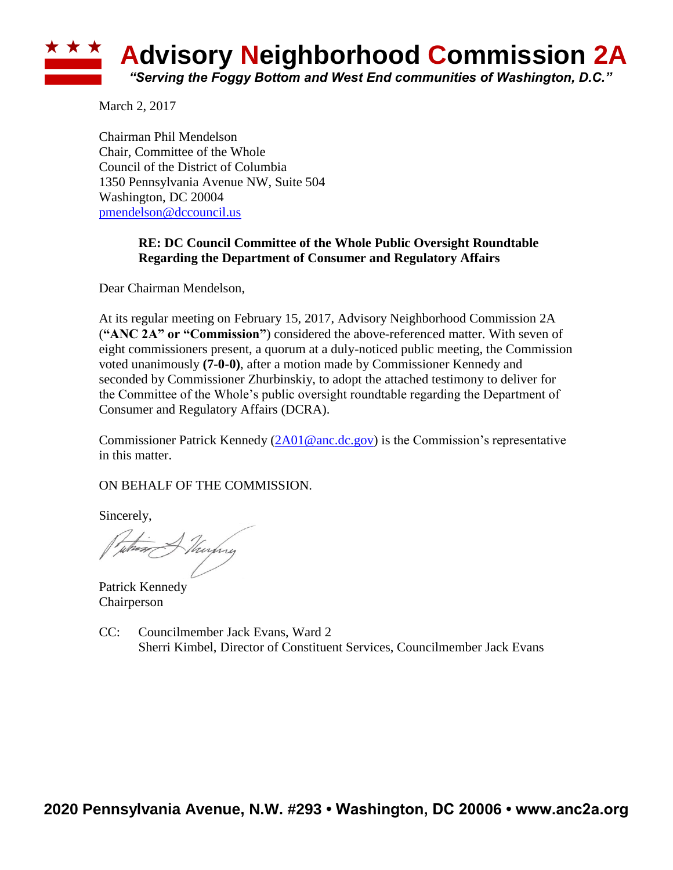

March 2, 2017

Chairman Phil Mendelson Chair, Committee of the Whole Council of the District of Columbia 1350 Pennsylvania Avenue NW, Suite 504 Washington, DC 20004 [pmendelson@dccouncil.us](mailto:pmendelson@dccouncil.us)

#### **RE: DC Council Committee of the Whole Public Oversight Roundtable Regarding the Department of Consumer and Regulatory Affairs**

Dear Chairman Mendelson,

At its regular meeting on February 15, 2017, Advisory Neighborhood Commission 2A (**"ANC 2A" or "Commission"**) considered the above-referenced matter. With seven of eight commissioners present, a quorum at a duly-noticed public meeting, the Commission voted unanimously **(7-0-0)**, after a motion made by Commissioner Kennedy and seconded by Commissioner Zhurbinskiy, to adopt the attached testimony to deliver for the Committee of the Whole's public oversight roundtable regarding the Department of Consumer and Regulatory Affairs (DCRA).

Commissioner Patrick Kennedy [\(2A01@anc.dc.gov\)](mailto:2A01@anc.dc.gov) is the Commission's representative in this matter.

ON BEHALF OF THE COMMISSION.

Sincerely,

when Murphy

Patrick Kennedy Chairperson

CC: Councilmember Jack Evans, Ward 2 Sherri Kimbel, Director of Constituent Services, Councilmember Jack Evans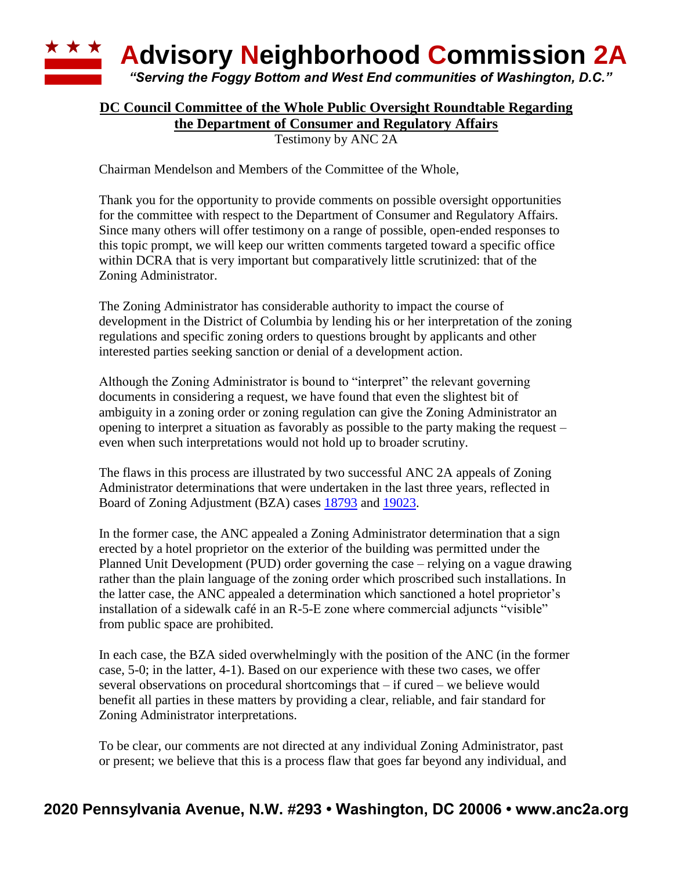

## **DC Council Committee of the Whole Public Oversight Roundtable Regarding the Department of Consumer and Regulatory Affairs** Testimony by ANC 2A

Chairman Mendelson and Members of the Committee of the Whole,

Thank you for the opportunity to provide comments on possible oversight opportunities for the committee with respect to the Department of Consumer and Regulatory Affairs. Since many others will offer testimony on a range of possible, open-ended responses to this topic prompt, we will keep our written comments targeted toward a specific office within DCRA that is very important but comparatively little scrutinized: that of the Zoning Administrator.

The Zoning Administrator has considerable authority to impact the course of development in the District of Columbia by lending his or her interpretation of the zoning regulations and specific zoning orders to questions brought by applicants and other interested parties seeking sanction or denial of a development action.

Although the Zoning Administrator is bound to "interpret" the relevant governing documents in considering a request, we have found that even the slightest bit of ambiguity in a zoning order or zoning regulation can give the Zoning Administrator an opening to interpret a situation as favorably as possible to the party making the request – even when such interpretations would not hold up to broader scrutiny.

The flaws in this process are illustrated by two successful ANC 2A appeals of Zoning Administrator determinations that were undertaken in the last three years, reflected in Board of Zoning Adjustment (BZA) cases [18793](https://app.dcoz.dc.gov/Content/Search/ViewCaseReport.aspx?case_id=18793) and [19023.](https://app.dcoz.dc.gov/Content/Search/ViewCaseReport.aspx?case_id=19023)

In the former case, the ANC appealed a Zoning Administrator determination that a sign erected by a hotel proprietor on the exterior of the building was permitted under the Planned Unit Development (PUD) order governing the case – relying on a vague drawing rather than the plain language of the zoning order which proscribed such installations. In the latter case, the ANC appealed a determination which sanctioned a hotel proprietor's installation of a sidewalk café in an R-5-E zone where commercial adjuncts "visible" from public space are prohibited.

In each case, the BZA sided overwhelmingly with the position of the ANC (in the former case, 5-0; in the latter, 4-1). Based on our experience with these two cases, we offer several observations on procedural shortcomings that – if cured – we believe would benefit all parties in these matters by providing a clear, reliable, and fair standard for Zoning Administrator interpretations.

To be clear, our comments are not directed at any individual Zoning Administrator, past or present; we believe that this is a process flaw that goes far beyond any individual, and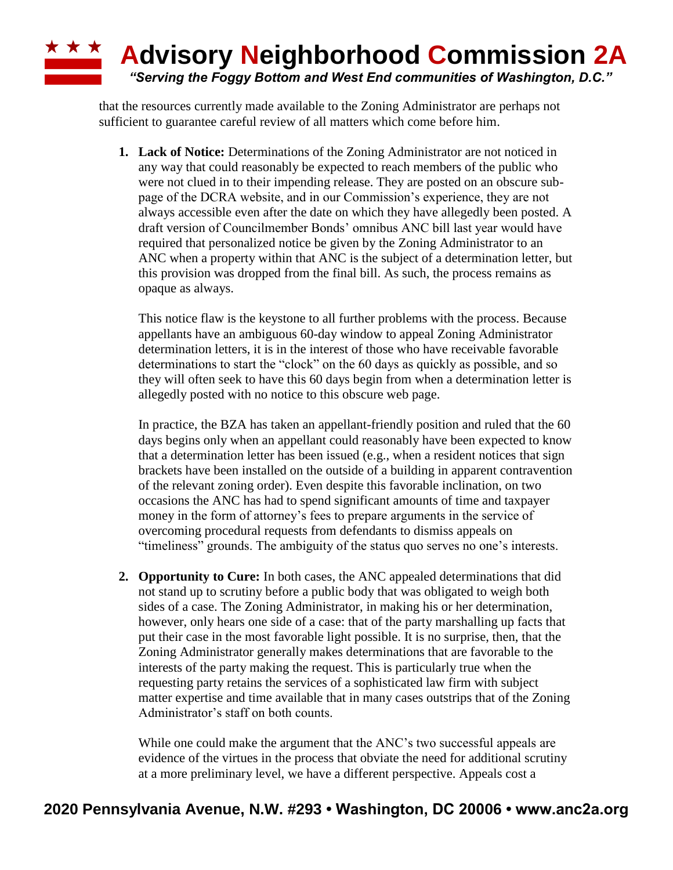# **Advisory Neighborhood Commission 2A** *"Serving the Foggy Bottom and West End communities of Washington, D.C."*

that the resources currently made available to the Zoning Administrator are perhaps not sufficient to guarantee careful review of all matters which come before him.

**1. Lack of Notice:** Determinations of the Zoning Administrator are not noticed in any way that could reasonably be expected to reach members of the public who were not clued in to their impending release. They are posted on an obscure subpage of the DCRA website, and in our Commission's experience, they are not always accessible even after the date on which they have allegedly been posted. A draft version of Councilmember Bonds' omnibus ANC bill last year would have required that personalized notice be given by the Zoning Administrator to an ANC when a property within that ANC is the subject of a determination letter, but this provision was dropped from the final bill. As such, the process remains as opaque as always.

This notice flaw is the keystone to all further problems with the process. Because appellants have an ambiguous 60-day window to appeal Zoning Administrator determination letters, it is in the interest of those who have receivable favorable determinations to start the "clock" on the 60 days as quickly as possible, and so they will often seek to have this 60 days begin from when a determination letter is allegedly posted with no notice to this obscure web page.

In practice, the BZA has taken an appellant-friendly position and ruled that the 60 days begins only when an appellant could reasonably have been expected to know that a determination letter has been issued (e.g., when a resident notices that sign brackets have been installed on the outside of a building in apparent contravention of the relevant zoning order). Even despite this favorable inclination, on two occasions the ANC has had to spend significant amounts of time and taxpayer money in the form of attorney's fees to prepare arguments in the service of overcoming procedural requests from defendants to dismiss appeals on "timeliness" grounds. The ambiguity of the status quo serves no one's interests.

**2. Opportunity to Cure:** In both cases, the ANC appealed determinations that did not stand up to scrutiny before a public body that was obligated to weigh both sides of a case. The Zoning Administrator, in making his or her determination, however, only hears one side of a case: that of the party marshalling up facts that put their case in the most favorable light possible. It is no surprise, then, that the Zoning Administrator generally makes determinations that are favorable to the interests of the party making the request. This is particularly true when the requesting party retains the services of a sophisticated law firm with subject matter expertise and time available that in many cases outstrips that of the Zoning Administrator's staff on both counts.

While one could make the argument that the ANC's two successful appeals are evidence of the virtues in the process that obviate the need for additional scrutiny at a more preliminary level, we have a different perspective. Appeals cost a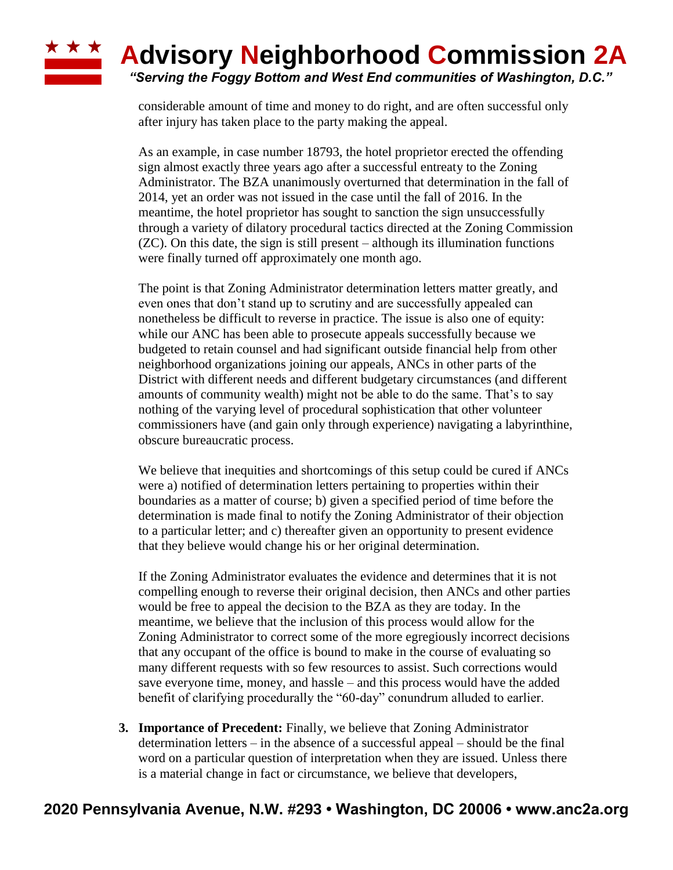# **Advisory Neighborhood Commission 2A** *"Serving the Foggy Bottom and West End communities of Washington, D.C."*

considerable amount of time and money to do right, and are often successful only after injury has taken place to the party making the appeal.

As an example, in case number 18793, the hotel proprietor erected the offending sign almost exactly three years ago after a successful entreaty to the Zoning Administrator. The BZA unanimously overturned that determination in the fall of 2014, yet an order was not issued in the case until the fall of 2016. In the meantime, the hotel proprietor has sought to sanction the sign unsuccessfully through a variety of dilatory procedural tactics directed at the Zoning Commission (ZC). On this date, the sign is still present – although its illumination functions were finally turned off approximately one month ago.

The point is that Zoning Administrator determination letters matter greatly, and even ones that don't stand up to scrutiny and are successfully appealed can nonetheless be difficult to reverse in practice. The issue is also one of equity: while our ANC has been able to prosecute appeals successfully because we budgeted to retain counsel and had significant outside financial help from other neighborhood organizations joining our appeals, ANCs in other parts of the District with different needs and different budgetary circumstances (and different amounts of community wealth) might not be able to do the same. That's to say nothing of the varying level of procedural sophistication that other volunteer commissioners have (and gain only through experience) navigating a labyrinthine, obscure bureaucratic process.

We believe that inequities and shortcomings of this setup could be cured if ANCs were a) notified of determination letters pertaining to properties within their boundaries as a matter of course; b) given a specified period of time before the determination is made final to notify the Zoning Administrator of their objection to a particular letter; and c) thereafter given an opportunity to present evidence that they believe would change his or her original determination.

If the Zoning Administrator evaluates the evidence and determines that it is not compelling enough to reverse their original decision, then ANCs and other parties would be free to appeal the decision to the BZA as they are today. In the meantime, we believe that the inclusion of this process would allow for the Zoning Administrator to correct some of the more egregiously incorrect decisions that any occupant of the office is bound to make in the course of evaluating so many different requests with so few resources to assist. Such corrections would save everyone time, money, and hassle – and this process would have the added benefit of clarifying procedurally the "60-day" conundrum alluded to earlier.

**3. Importance of Precedent:** Finally, we believe that Zoning Administrator determination letters – in the absence of a successful appeal – should be the final word on a particular question of interpretation when they are issued. Unless there is a material change in fact or circumstance, we believe that developers,

# **2020 Pennsylvania Avenue, N.W. #293 • Washington, DC 20006 • www.anc2a.org**